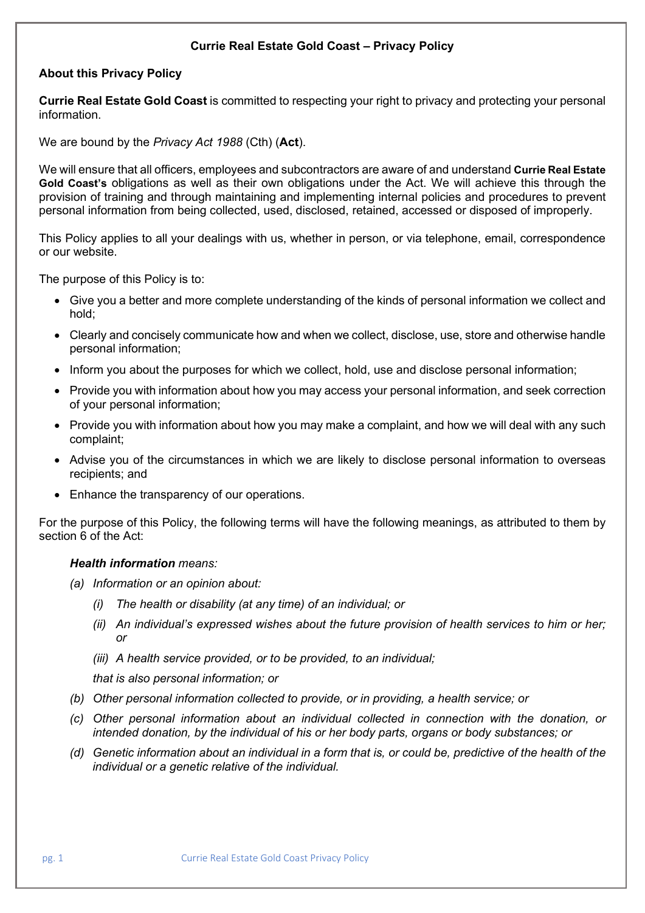#### **Currie Real Estate Gold Coast – Privacy Policy**

### **About this Privacy Policy**

**Currie Real Estate Gold Coast** is committed to respecting your right to privacy and protecting your personal information.

We are bound by the *Privacy Act 1988* (Cth) (**Act**).

We will ensure that all officers, employees and subcontractors are aware of and understand **Currie Real Estate Gold Coast's** obligations as well as their own obligations under the Act. We will achieve this through the provision of training and through maintaining and implementing internal policies and procedures to prevent personal information from being collected, used, disclosed, retained, accessed or disposed of improperly.

This Policy applies to all your dealings with us, whether in person, or via telephone, email, correspondence or our website.

The purpose of this Policy is to:

- Give you a better and more complete understanding of the kinds of personal information we collect and hold;
- Clearly and concisely communicate how and when we collect, disclose, use, store and otherwise handle personal information;
- Inform you about the purposes for which we collect, hold, use and disclose personal information;
- Provide you with information about how you may access your personal information, and seek correction of your personal information;
- Provide you with information about how you may make a complaint, and how we will deal with any such complaint;
- Advise you of the circumstances in which we are likely to disclose personal information to overseas recipients; and
- Enhance the transparency of our operations.

For the purpose of this Policy, the following terms will have the following meanings, as attributed to them by section 6 of the Act:

#### *Health information means:*

- *(a) Information or an opinion about:*
	- *(i) The health or disability (at any time) of an individual; or*
	- *(ii) An individual's expressed wishes about the future provision of health services to him or her; or*
	- *(iii) A health service provided, or to be provided, to an individual;*

*that is also personal information; or*

- *(b) Other personal information collected to provide, or in providing, a health service; or*
- *(c) Other personal information about an individual collected in connection with the donation, or intended donation, by the individual of his or her body parts, organs or body substances; or*
- *(d) Genetic information about an individual in a form that is, or could be, predictive of the health of the individual or a genetic relative of the individual.*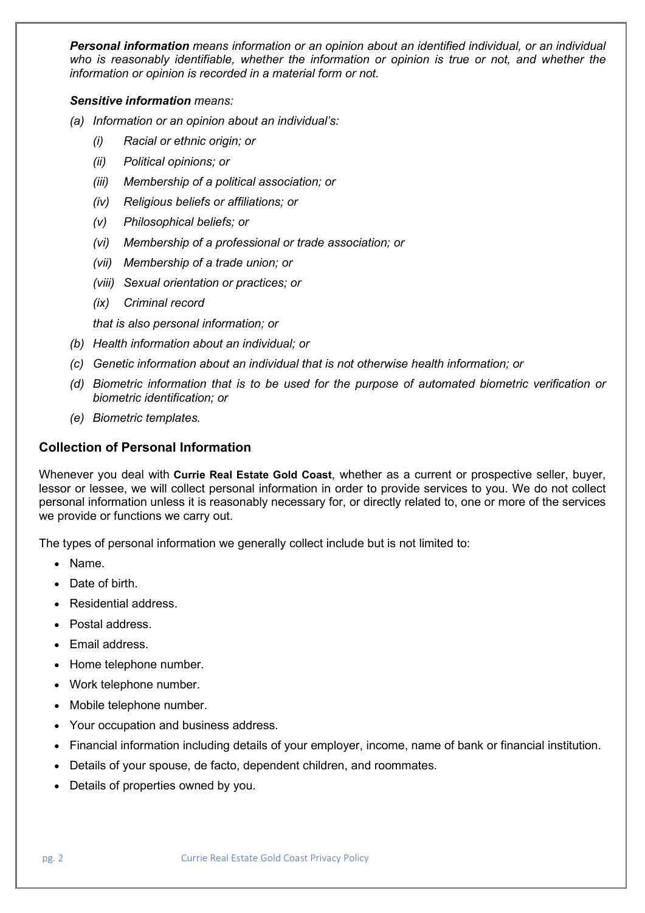*Personal information means information or an opinion about an identified individual, or an individual who is reasonably identifiable, whether the information or opinion is true or not, and whether the information or opinion is recorded in a material form or not.*

#### *Sensitive information means:*

- *(a) Information or an opinion about an individual's:*
	- *(i) Racial or ethnic origin; or*
	- *(ii) Political opinions; or*
	- *(iii) Membership of a political association; or*
	- *(iv) Religious beliefs or affiliations; or*
	- *(v) Philosophical beliefs; or*
	- *(vi) Membership of a professional or trade association; or*
	- *(vii) Membership of a trade union; or*
	- *(viii) Sexual orientation or practices; or*
	- *(ix) Criminal record*

*that is also personal information; or*

- *(b) Health information about an individual; or*
- *(c) Genetic information about an individual that is not otherwise health information; or*
- *(d) Biometric information that is to be used for the purpose of automated biometric verification or biometric identification; or*
- *(e) Biometric templates.*

## **Collection of Personal Information**

Whenever you deal with **Currie Real Estate Gold Coast**, whether as a current or prospective seller, buyer, lessor or lessee, we will collect personal information in order to provide services to you. We do not collect personal information unless it is reasonably necessary for, or directly related to, one or more of the services we provide or functions we carry out.

The types of personal information we generally collect include but is not limited to:

- Name.
- Date of birth.
- Residential address.
- Postal address.
- Email address.
- Home telephone number.
- Work telephone number.
- Mobile telephone number.
- Your occupation and business address.
- Financial information including details of your employer, income, name of bank or financial institution.
- Details of your spouse, de facto, dependent children, and roommates.
- Details of properties owned by you.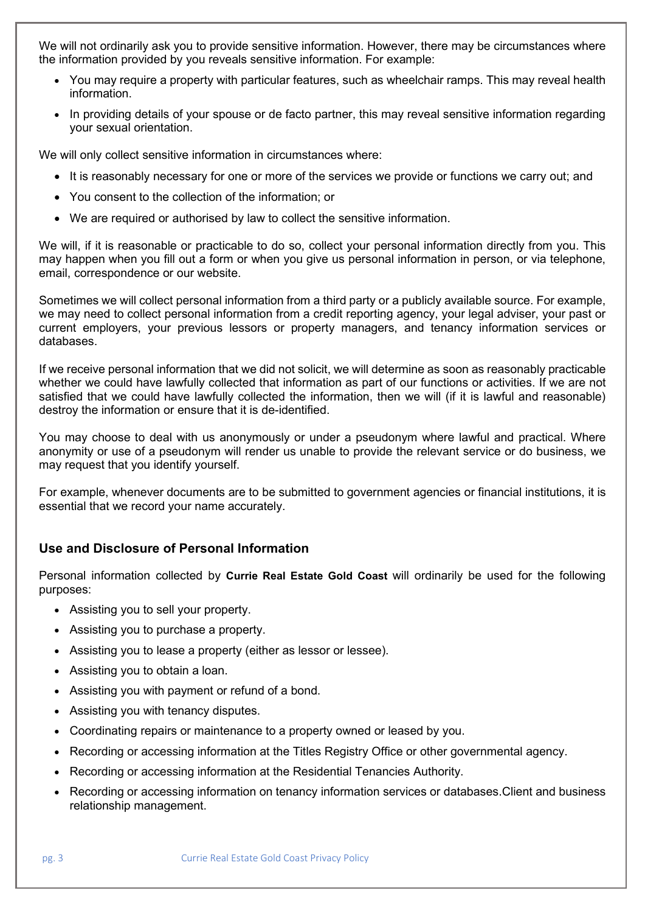We will not ordinarily ask you to provide sensitive information. However, there may be circumstances where the information provided by you reveals sensitive information. For example:

- You may require a property with particular features, such as wheelchair ramps. This may reveal health information.
- In providing details of your spouse or de facto partner, this may reveal sensitive information regarding your sexual orientation.

We will only collect sensitive information in circumstances where:

- It is reasonably necessary for one or more of the services we provide or functions we carry out; and
- You consent to the collection of the information; or
- We are required or authorised by law to collect the sensitive information.

We will, if it is reasonable or practicable to do so, collect your personal information directly from you. This may happen when you fill out a form or when you give us personal information in person, or via telephone, email, correspondence or our website.

Sometimes we will collect personal information from a third party or a publicly available source. For example, we may need to collect personal information from a credit reporting agency, your legal adviser, your past or current employers, your previous lessors or property managers, and tenancy information services or databases.

If we receive personal information that we did not solicit, we will determine as soon as reasonably practicable whether we could have lawfully collected that information as part of our functions or activities. If we are not satisfied that we could have lawfully collected the information, then we will (if it is lawful and reasonable) destroy the information or ensure that it is de-identified.

You may choose to deal with us anonymously or under a pseudonym where lawful and practical. Where anonymity or use of a pseudonym will render us unable to provide the relevant service or do business, we may request that you identify yourself.

For example, whenever documents are to be submitted to government agencies or financial institutions, it is essential that we record your name accurately.

## **Use and Disclosure of Personal Information**

Personal information collected by **Currie Real Estate Gold Coast** will ordinarily be used for the following purposes:

- Assisting you to sell your property.
- Assisting you to purchase a property.
- Assisting you to lease a property (either as lessor or lessee).
- Assisting you to obtain a loan.
- Assisting you with payment or refund of a bond.
- Assisting you with tenancy disputes.
- Coordinating repairs or maintenance to a property owned or leased by you.
- Recording or accessing information at the Titles Registry Office or other governmental agency.
- Recording or accessing information at the Residential Tenancies Authority.
- Recording or accessing information on tenancy information services or databases.Client and business relationship management.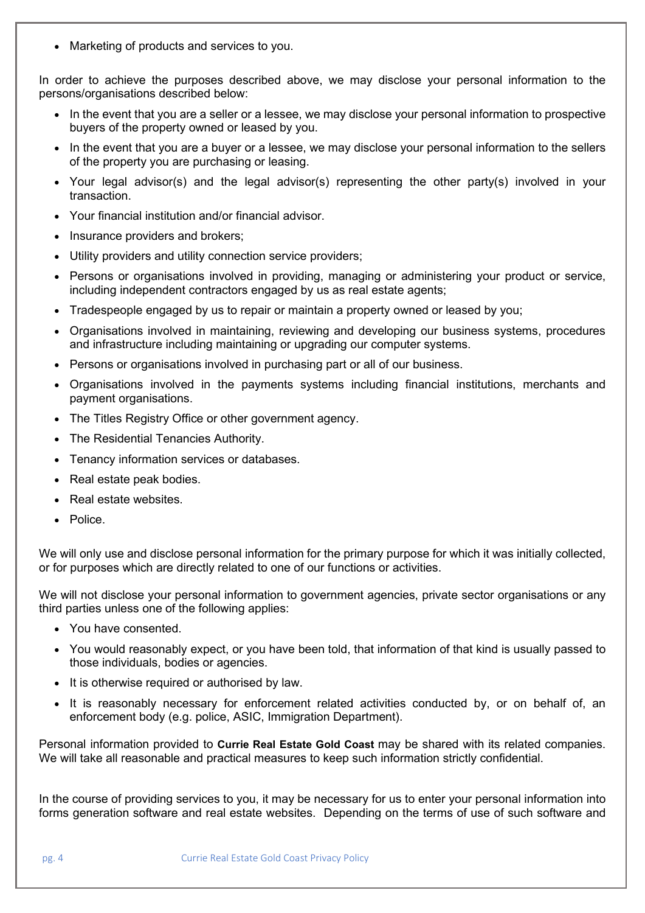• Marketing of products and services to you.

In order to achieve the purposes described above, we may disclose your personal information to the persons/organisations described below:

- In the event that you are a seller or a lessee, we may disclose your personal information to prospective buyers of the property owned or leased by you.
- In the event that you are a buyer or a lessee, we may disclose your personal information to the sellers of the property you are purchasing or leasing.
- Your legal advisor(s) and the legal advisor(s) representing the other party(s) involved in your transaction.
- Your financial institution and/or financial advisor.
- Insurance providers and brokers;
- Utility providers and utility connection service providers;
- Persons or organisations involved in providing, managing or administering your product or service, including independent contractors engaged by us as real estate agents;
- Tradespeople engaged by us to repair or maintain a property owned or leased by you;
- Organisations involved in maintaining, reviewing and developing our business systems, procedures and infrastructure including maintaining or upgrading our computer systems.
- Persons or organisations involved in purchasing part or all of our business.
- Organisations involved in the payments systems including financial institutions, merchants and payment organisations.
- The Titles Registry Office or other government agency.
- The Residential Tenancies Authority.
- Tenancy information services or databases.
- Real estate peak bodies.
- Real estate websites.
- Police.

We will only use and disclose personal information for the primary purpose for which it was initially collected, or for purposes which are directly related to one of our functions or activities.

We will not disclose your personal information to government agencies, private sector organisations or any third parties unless one of the following applies:

- You have consented.
- You would reasonably expect, or you have been told, that information of that kind is usually passed to those individuals, bodies or agencies.
- It is otherwise required or authorised by law.
- It is reasonably necessary for enforcement related activities conducted by, or on behalf of, an enforcement body (e.g. police, ASIC, Immigration Department).

Personal information provided to **Currie Real Estate Gold Coast** may be shared with its related companies. We will take all reasonable and practical measures to keep such information strictly confidential.

In the course of providing services to you, it may be necessary for us to enter your personal information into forms generation software and real estate websites. Depending on the terms of use of such software and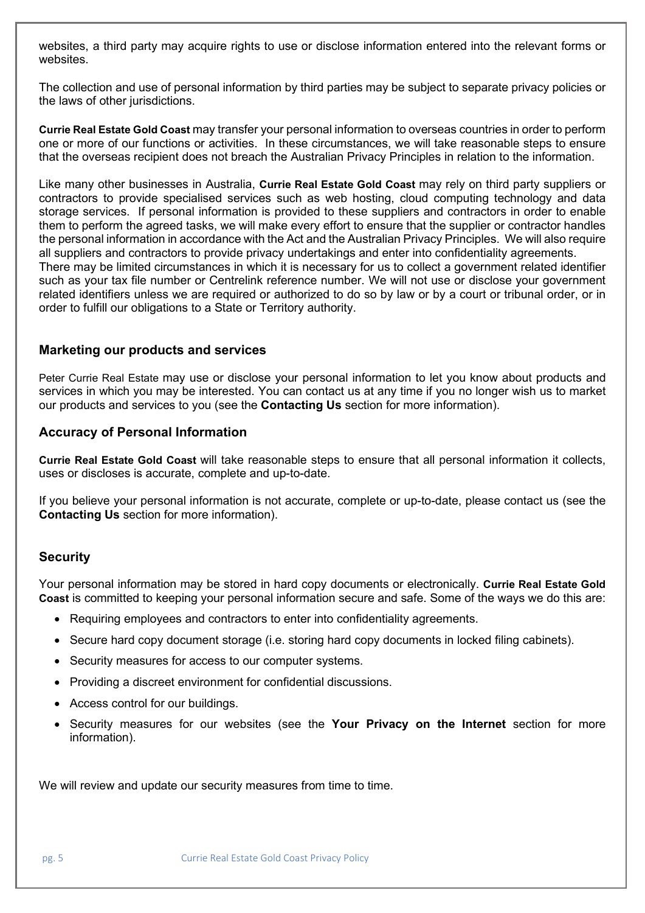websites, a third party may acquire rights to use or disclose information entered into the relevant forms or websites.

The collection and use of personal information by third parties may be subject to separate privacy policies or the laws of other jurisdictions.

**Currie Real Estate Gold Coast** may transfer your personal information to overseas countries in order to perform one or more of our functions or activities. In these circumstances, we will take reasonable steps to ensure that the overseas recipient does not breach the Australian Privacy Principles in relation to the information.

Like many other businesses in Australia, **Currie Real Estate Gold Coast** may rely on third party suppliers or contractors to provide specialised services such as web hosting, cloud computing technology and data storage services. If personal information is provided to these suppliers and contractors in order to enable them to perform the agreed tasks, we will make every effort to ensure that the supplier or contractor handles the personal information in accordance with the Act and the Australian Privacy Principles. We will also require all suppliers and contractors to provide privacy undertakings and enter into confidentiality agreements. There may be limited circumstances in which it is necessary for us to collect a government related identifier such as your tax file number or Centrelink reference number. We will not use or disclose your government related identifiers unless we are required or authorized to do so by law or by a court or tribunal order, or in order to fulfill our obligations to a State or Territory authority.

#### **Marketing our products and services**

Peter Currie Real Estate may use or disclose your personal information to let you know about products and services in which you may be interested. You can contact us at any time if you no longer wish us to market our products and services to you (see the **Contacting Us** section for more information).

### **Accuracy of Personal Information**

**Currie Real Estate Gold Coast** will take reasonable steps to ensure that all personal information it collects, uses or discloses is accurate, complete and up-to-date.

If you believe your personal information is not accurate, complete or up-to-date, please contact us (see the **Contacting Us** section for more information).

## **Security**

Your personal information may be stored in hard copy documents or electronically. **Currie Real Estate Gold Coast** is committed to keeping your personal information secure and safe. Some of the ways we do this are:

- Requiring employees and contractors to enter into confidentiality agreements.
- Secure hard copy document storage (i.e. storing hard copy documents in locked filing cabinets).
- Security measures for access to our computer systems.
- Providing a discreet environment for confidential discussions.
- Access control for our buildings.
- Security measures for our websites (see the **Your Privacy on the Internet** section for more information).

We will review and update our security measures from time to time.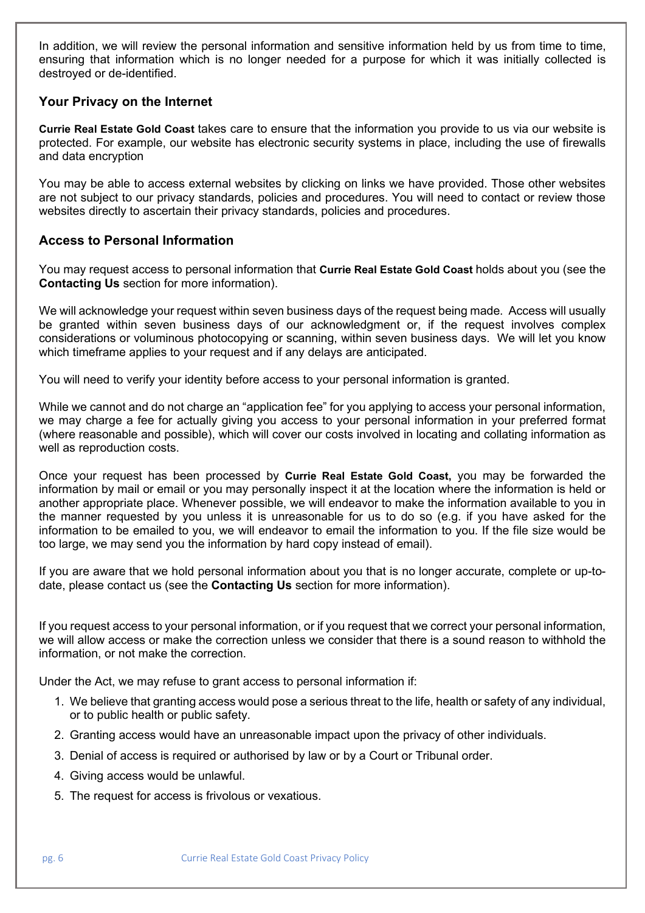In addition, we will review the personal information and sensitive information held by us from time to time, ensuring that information which is no longer needed for a purpose for which it was initially collected is destroyed or de-identified.

### **Your Privacy on the Internet**

**Currie Real Estate Gold Coast** takes care to ensure that the information you provide to us via our website is protected. For example, our website has electronic security systems in place, including the use of firewalls and data encryption

You may be able to access external websites by clicking on links we have provided. Those other websites are not subject to our privacy standards, policies and procedures. You will need to contact or review those websites directly to ascertain their privacy standards, policies and procedures.

## **Access to Personal Information**

You may request access to personal information that **Currie Real Estate Gold Coast** holds about you (see the **Contacting Us** section for more information).

We will acknowledge your request within seven business days of the request being made. Access will usually be granted within seven business days of our acknowledgment or, if the request involves complex considerations or voluminous photocopying or scanning, within seven business days. We will let you know which timeframe applies to your request and if any delays are anticipated.

You will need to verify your identity before access to your personal information is granted.

While we cannot and do not charge an "application fee" for you applying to access your personal information, we may charge a fee for actually giving you access to your personal information in your preferred format (where reasonable and possible), which will cover our costs involved in locating and collating information as well as reproduction costs.

Once your request has been processed by **Currie Real Estate Gold Coast,** you may be forwarded the information by mail or email or you may personally inspect it at the location where the information is held or another appropriate place. Whenever possible, we will endeavor to make the information available to you in the manner requested by you unless it is unreasonable for us to do so (e.g. if you have asked for the information to be emailed to you, we will endeavor to email the information to you. If the file size would be too large, we may send you the information by hard copy instead of email).

If you are aware that we hold personal information about you that is no longer accurate, complete or up-todate, please contact us (see the **Contacting Us** section for more information).

If you request access to your personal information, or if you request that we correct your personal information, we will allow access or make the correction unless we consider that there is a sound reason to withhold the information, or not make the correction.

Under the Act, we may refuse to grant access to personal information if:

- 1. We believe that granting access would pose a serious threat to the life, health or safety of any individual, or to public health or public safety.
- 2. Granting access would have an unreasonable impact upon the privacy of other individuals.
- 3. Denial of access is required or authorised by law or by a Court or Tribunal order.
- 4. Giving access would be unlawful.
- 5. The request for access is frivolous or vexatious.